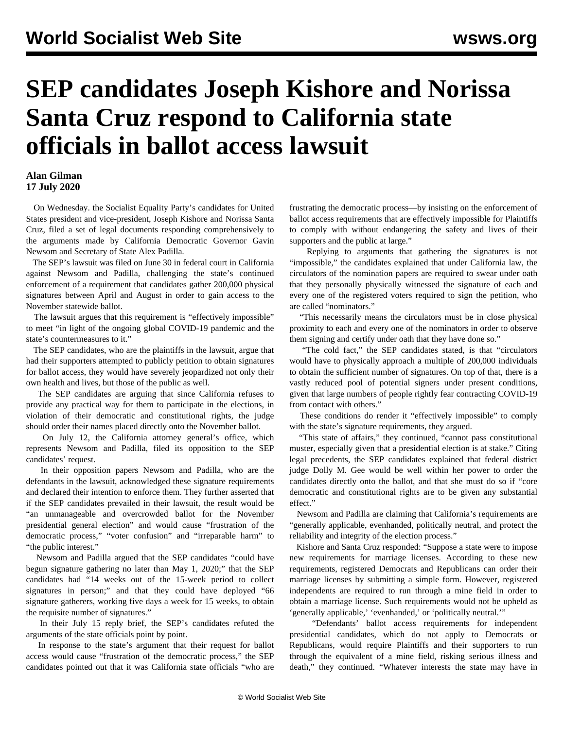## **SEP candidates Joseph Kishore and Norissa Santa Cruz respond to California state officials in ballot access lawsuit**

## **Alan Gilman 17 July 2020**

 On Wednesday. the Socialist Equality Party's candidates for United States president and vice-president, Joseph Kishore and Norissa Santa Cruz, filed a set of legal documents responding comprehensively to the arguments made by California Democratic Governor Gavin Newsom and Secretary of State Alex Padilla.

 The SEP's [lawsuit](/en/articles/2020/07/02/cali-j02.html) was filed on June 30 in federal court in California against Newsom and Padilla, challenging the state's continued enforcement of a requirement that candidates gather 200,000 physical signatures between April and August in order to gain access to the November statewide ballot.

 The lawsuit argues that this requirement is "effectively impossible" to meet "in light of the ongoing global COVID-19 pandemic and the state's countermeasures to it."

 The SEP candidates, who are the plaintiffs in the lawsuit, argue that had their supporters attempted to publicly petition to obtain signatures for ballot access, they would have severely jeopardized not only their own health and lives, but those of the public as well.

 The SEP candidates are arguing that since California refuses to provide any practical way for them to participate in the elections, in violation of their democratic and constitutional rights, the judge should order their names placed directly onto the November ballot.

 On July 12, the California attorney general's office, which represents Newsom and Padilla, filed its [opposition](/en/articles/2020/07/14/cali-j14.html) to the SEP candidates' request.

 In their opposition papers Newsom and Padilla, who are the defendants in the lawsuit, acknowledged these signature requirements and declared their intention to enforce them. They further asserted that if the SEP candidates prevailed in their lawsuit, the result would be "an unmanageable and overcrowded ballot for the November presidential general election" and would cause "frustration of the democratic process," "voter confusion" and "irreparable harm" to "the public interest."

 Newsom and Padilla argued that the SEP candidates "could have begun signature gathering no later than May 1, 2020;" that the SEP candidates had "14 weeks out of the 15-week period to collect signatures in person;" and that they could have deployed "66 signature gatherers, working five days a week for 15 weeks, to obtain the requisite number of signatures."

 In their July 15 reply brief, the SEP's candidates refuted the arguments of the state officials point by point.

 In response to the state's argument that their request for ballot access would cause "frustration of the democratic process," the SEP candidates pointed out that it was California state officials "who are

frustrating the democratic process—by insisting on the enforcement of ballot access requirements that are effectively impossible for Plaintiffs to comply with without endangering the safety and lives of their supporters and the public at large."

 Replying to arguments that gathering the signatures is not "impossible," the candidates explained that under California law, the circulators of the nomination papers are required to swear under oath that they personally physically witnessed the signature of each and every one of the registered voters required to sign the petition, who are called "nominators."

 "This necessarily means the circulators must be in close physical proximity to each and every one of the nominators in order to observe them signing and certify under oath that they have done so."

 "The cold fact," the SEP candidates stated, is that "circulators would have to physically approach a multiple of 200,000 individuals to obtain the sufficient number of signatures. On top of that, there is a vastly reduced pool of potential signers under present conditions, given that large numbers of people rightly fear contracting COVID-19 from contact with others."

 These conditions do render it "effectively impossible" to comply with the state's signature requirements, they argued.

 "This state of affairs," they continued, "cannot pass constitutional muster, especially given that a presidential election is at stake." Citing legal precedents, the SEP candidates explained that federal district judge Dolly M. Gee would be well within her power to order the candidates directly onto the ballot, and that she must do so if "core democratic and constitutional rights are to be given any substantial effect."

 Newsom and Padilla are claiming that California's requirements are "generally applicable, evenhanded, politically neutral, and protect the reliability and integrity of the election process."

 Kishore and Santa Cruz responded: "Suppose a state were to impose new requirements for marriage licenses. According to these new requirements, registered Democrats and Republicans can order their marriage licenses by submitting a simple form. However, registered independents are required to run through a mine field in order to obtain a marriage license. Such requirements would not be upheld as 'generally applicable,' 'evenhanded,' or 'politically neutral.'"

 "Defendants' ballot access requirements for independent presidential candidates, which do not apply to Democrats or Republicans, would require Plaintiffs and their supporters to run through the equivalent of a mine field, risking serious illness and death," they continued. "Whatever interests the state may have in